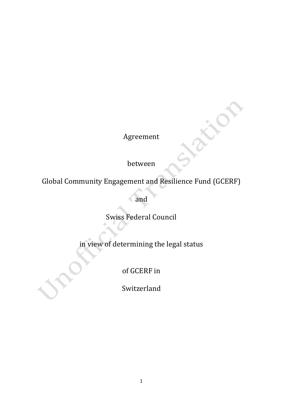Agreement

between

Global Community Engagement and Resilience Fund (GCERF)

and

Swiss Federal Council

in view of determining the legal status

of GCERF in

Switzerland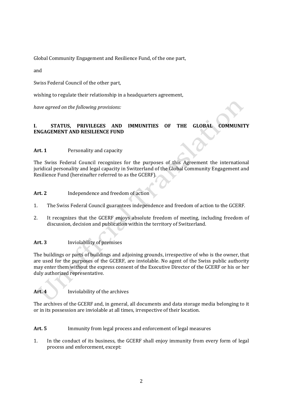Global Community Engagement and Resilience Fund, of the one part,

and

Swiss Federal Council of the other part,

wishing to regulate their relationship in a headquarters agreement,

*have agreed on the following provisions:*

# **I. STATUS, PRIVILEGES AND IMMUNITIES OF THE GLOBAL COMMUNITY ENGAGEMENT AND RESILIENCE FUND**

# **Art. 1** Personality and capacity

The Swiss Federal Council recognizes for the purposes of this Agreement the international juridical personality and legal capacity in Switzerland of the Global Community Engagement and Resilience Fund (hereinafter referred to as the GCERF).

# **Art. 2** Independence and freedom of action

- 1. The Swiss Federal Council guarantees independence and freedom of action to the GCERF.
- 2. It recognizes that the GCERF enjoys absolute freedom of meeting, including freedom of discussion, decision and publication within the territory of Switzerland.

# **Art. 3** Inviolability of premises

The buildings or parts of buildings and adjoining grounds, irrespective of who is the owner, that are used for the purposes of the GCERF, are inviolable. No agent of the Swiss public authority may enter them without the express consent of the Executive Director of the GCERF or his or her duly authorized representative.

Art. 4 Inviolability of the archives

The archives of the GCERF and, in general, all documents and data storage media belonging to it or in its possession are inviolable at all times, irrespective of their location.

**Art. 5** Immunity from legal process and enforcement of legal measures

1. In the conduct of its business, the GCERF shall enjoy immunity from every form of legal process and enforcement, except: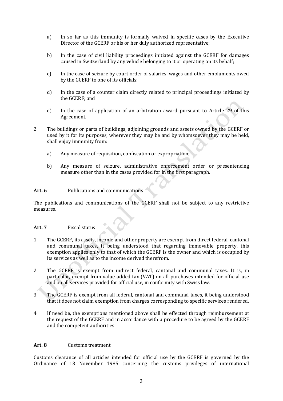- a) In so far as this immunity is formally waived in specific cases by the Executive Director of the GCERF or his or her duly authorized representative;
- b) In the case of civil liability proceedings initiated against the GCERF for damages caused in Switzerland by any vehicle belonging to it or operating on its behalf;
- c) In the case of seizure by court order of salaries, wages and other emoluments owed by the GCERF to one of its officials;
- d) In the case of a counter claim directly related to principal proceedings initiated by the GCERF; and
- e) In the case of application of an arbitration award pursuant to Article 29 of this Agreement.
- 2. The buildings or parts of buildings, adjoining grounds and assets owned by the GCERF or used by it for its purposes, wherever they may be and by whomsoever they may be held, shall enjoy immunity from:
	- a) Any measure of requisition, confiscation or expropriation;
	- b) Any measure of seizure, administrative enforcement order or presentencing measure other than in the cases provided for in the first paragraph.

#### **Art. 6** Publications and communications

The publications and communications of the GCERF shall not be subject to any restrictive measures.

#### **Art. 7** Fiscal status

- 1. The GCERF, its assets, income and other property are exempt from direct federal, cantonal and communal taxes, it being understood that regarding immovable property, this exemption applies only to that of which the GCERF is the owner and which is occupied by its services as well as to the income derived therefrom.
- 2. The GCERF is exempt from indirect federal, cantonal and communal taxes. It is, in particular, exempt from value-added tax (VAT) on all purchases intended for official use and on all services provided for official use, in conformity with Swiss law.
- 3. The GCERF is exempt from all federal, cantonal and communal taxes, it being understood that it does not claim exemption from charges corresponding to specific services rendered.
- 4. If need be, the exemptions mentioned above shall be effected through reimbursement at the request of the GCERF and in accordance with a procedure to be agreed by the GCERF and the competent authorities.

#### **Art. 8** Customs treatment

Customs clearance of all articles intended for official use by the GCERF is governed by the Ordinance of 13 November 1985 concerning the customs privileges of international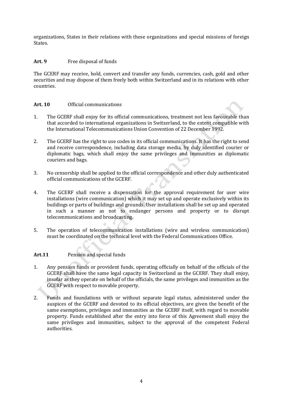organizations, States in their relations with these organizations and special missions of foreign States.

# Art. 9 Free disposal of funds

The GCERF may receive, hold, convert and transfer any funds, currencies, cash, gold and other securities and may dispose of them freely both within Switzerland and in its relations with other countries.

## **Art. 10** Official communications

- 1. The GCERF shall enjoy for its official communications, treatment not less favourable than that accorded to international organizations in Switzerland, to the extent compatible with the International Telecommunications Union Convention of 22 December 1992.
- 2. The GCERF has the right to use codes in its official communications. It has the right to send and receive correspondence, including data storage media, by duly identified courier or diplomatic bags, which shall enjoy the same privileges and immunities as diplomatic couriers and bags.
- 3. No censorship shall be applied to the official correspondence and other duly authenticated official communications of the GCERF.
- 4. The GCERF shall receive a dispensation for the approval requirement for user wire installations (wire communication) which it may set up and operate exclusively within its buildings or parts of buildings and grounds. User installations shall be set up and operated in such a manner as not to endanger persons and property or to disrupt telecommunications and broadcasting.
- 5. The operation of telecommunication installations (wire and wireless communication) must be coordinated on the technical level with the Federal Communications Office.

## **Art.11** Pension and special funds

- 1. Any pension funds or provident funds, operating officially on behalf of the officials of the GCERF shall have the same legal capacity in Switzerland as the GCERF. They shall enjoy, insofar as they operate on behalf of the officials, the same privileges and immunities as the GCERF with respect to movable property.
- 2. Funds and foundations with or without separate legal status, administered under the auspices of the GCERF and devoted to its official objectives, are given the benefit of the same exemptions, privileges and immunities as the GCERF itself, with regard to movable property. Funds established after the entry into force of this Agreement shall enjoy the same privileges and immunities, subject to the approval of the competent Federal authorities.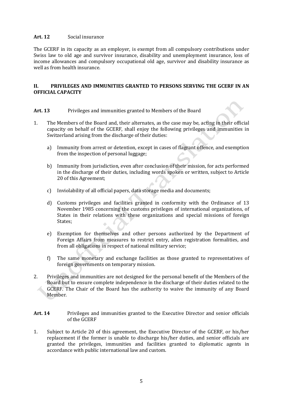## **Art. 12** Social insurance

The GCERF in its capacity as an employer, is exempt from all compulsory contributions under Swiss law to old age and survivor insurance, disability and unemployment insurance, loss of income allowances and compulsory occupational old age, survivor and disability insurance as well as from health insurance.

#### **II. PRIVILEGES AND IMMUNITIES GRANTED TO PERSONS SERVING THE GCERF IN AN OFFICIAL CAPACITY**

## **Art. 13** Privileges and immunities granted to Members of the Board

- 1. The Members of the Board and, their alternates, as the case may be, acting in their official capacity on behalf of the GCERF, shall enjoy the following privileges and immunities in Switzerland arising from the discharge of their duties:
	- a) Immunity from arrest or detention, except in cases of flagrant offence, and exemption from the inspection of personal luggage;
	- b) Immunity from jurisdiction, even after conclusion of their mission, for acts performed in the discharge of their duties, including words spoken or written, subject to Article 20 of this Agreement;
	- c) Inviolability of all official papers, data storage media and documents;
	- d) Customs privileges and facilities granted in conformity with the Ordinance of 13 November 1985 concerning the customs privileges of international organizations, of States in their relations with these organizations and special missions of foreign States;
	- e) Exemption for themselves and other persons authorized by the Department of Foreign Affairs from measures to restrict entry, alien registration formalities, and from all obligations in respect of national military service;
	- f) The same monetary and exchange facilities as those granted to representatives of foreign governments on temporary mission.
- 2. Privileges and immunities are not designed for the personal benefit of the Members of the Board but to ensure complete independence in the discharge of their duties related to the GCERF. The Chair of the Board has the authority to waive the immunity of any Board Member.
- Art. 14 Privileges and immunities granted to the Executive Director and senior officials of the GCERF
- 1. Subject to Article 20 of this agreement, the Executive Director of the GCERF, or his/her replacement if the former is unable to discharge his/her duties, and senior officials are granted the privileges, immunities and facilities granted to diplomatic agents in accordance with public international law and custom.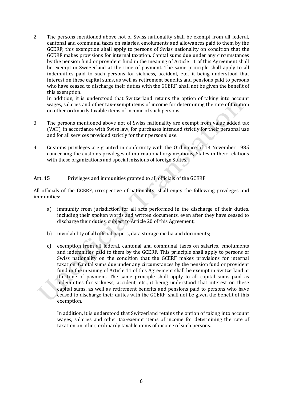2. The persons mentioned above not of Swiss nationality shall be exempt from all federal, cantonal and communal taxes on salaries, emoluments and allowances paid to them by the GCERF; this exemption shall apply to persons of Swiss nationality on condition that the GCERF makes provisions for internal taxation. Capital sums due under any circumstances by the pension fund or provident fund in the meaning of Article 11 of this Agreement shall be exempt in Switzerland at the time of payment. The same principle shall apply to all indemnities paid to such persons for sickness, accident, etc., it being understood that interest on these capital sums, as well as retirement benefits and pensions paid to persons who have ceased to discharge their duties with the GCERF, shall not be given the benefit of this exemption.

In addition, it is understood that Switzerland retains the option of taking into account wages, salaries and other tax-exempt items of income for determining the rate of taxation on other ordinarily taxable items of income of such persons.

- 3. The persons mentioned above not of Swiss nationality are exempt from value added tax (VAT), in accordance with Swiss law, for purchases intended strictly for their personal use and for all services provided strictly for their personal use.
- 4. Customs privileges are granted in conformity with the Ordinance of 13 November 1985 concerning the customs privileges of international organizations, States in their relations with these organizations and special missions of foreign States.

# Art. 15 Privileges and immunities granted to all officials of the GCERF

All officials of the GCERF, irrespective of nationality, shall enjoy the following privileges and immunities:

- a) immunity from jurisdiction for all acts performed in the discharge of their duties, including their spoken words and written documents, even after they have ceased to discharge their duties, subject to Article 20 of this Agreement;
- b) inviolability of all official papers, data storage media and documents;
- c) exemption from all federal, cantonal and communal taxes on salaries, emoluments and indemnities paid to them by the GCERF. This principle shall apply to persons of Swiss nationality on the condition that the GCERF makes provisions for internal taxation. Capital sums due under any circumstances by the pension fund or provident fund in the meaning of Article 11 of this Agreement shall be exempt in Switzerland at the time of payment. The same principle shall apply to all capital sums paid as indemnities for sickness, accident, etc., it being understood that interest on these capital sums, as well as retirement benefits and pensions paid to persons who have ceased to discharge their duties with the GCERF, shall not be given the benefit of this exemption.

In addition, it is understood that Switzerland retains the option of taking into account wages, salaries and other tax-exempt items of income for determining the rate of taxation on other, ordinarily taxable items of income of such persons.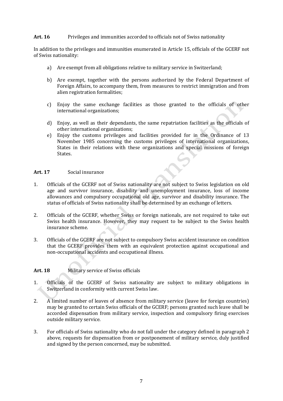#### **Art. 16** Privileges and immunities accorded to officials not of Swiss nationality

In addition to the privileges and immunities enumerated in Article 15, officials of the GCERF not of Swiss nationality:

- a) Are exempt from all obligations relative to military service in Switzerland;
- b) Are exempt, together with the persons authorized by the Federal Department of Foreign Affairs, to accompany them, from measures to restrict immigration and from alien registration formalities;
- c) Enjoy the same exchange facilities as those granted to the officials of other international organizations;
- d) Enjoy, as well as their dependants, the same repatriation facilities as the officials of other international organizations;
- e) Enjoy the customs privileges and facilities provided for in the Ordinance of 13 November 1985 concerning the customs privileges of international organizations, States in their relations with these organizations and special missions of foreign States.

#### **Art. 17** Social insurance

- 1. Officials of the GCERF not of Swiss nationality are not subject to Swiss legislation on old age and survivor insurance, disability and unemployment insurance, loss of income allowances and compulsory occupational old age, survivor and disability insurance. The status of officials of Swiss nationality shall be determined by an exchange of letters.
- 2. Officials of the GCERF, whether Swiss or foreign nationals, are not required to take out Swiss health insurance. However, they may request to be subject to the Swiss health insurance scheme.
- 3. Officials of the GCERF are not subject to compulsory Swiss accident insurance on condition that the GCERF provides them with an equivalent protection against occupational and non-occupational accidents and occupational illness.

## **Art. 18** Military service of Swiss officials

- 1. Officials of the GCERF of Swiss nationality are subject to military obligations in Switzerland in conformity with current Swiss law.
- 2. A limited number of leaves of absence from military service (leave for foreign countries) may be granted to certain Swiss officials of the GCERF; persons granted such leave shall be accorded dispensation from military service, inspection and compulsory firing exercises outside military service.
- 3. For officials of Swiss nationality who do not fall under the category defined in paragraph 2 above, requests for dispensation from or postponement of military service, duly justified and signed by the person concerned, may be submitted.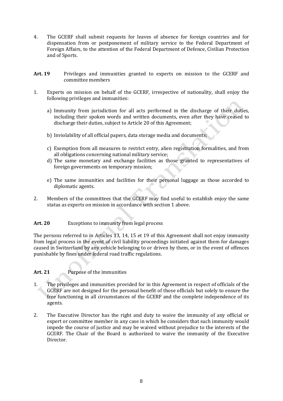- 4. The GCERF shall submit requests for leaves of absence for foreign countries and for dispensation from or postponement of military service to the Federal Department of Foreign Affairs, to the attention of the Federal Department of Defence, Civilian Protection and of Sports.
- **Art. 19** Privileges and immunities granted to experts on mission to the GCERF and committee members
- 1. Experts on mission on behalf of the GCERF, irrespective of nationality, shall enjoy the following privileges and immunities:
	- a) Immunity from jurisdiction for all acts performed in the discharge of their duties, including their spoken words and written documents, even after they have ceased to discharge their duties, subject to Article 20 of this Agreement;
	- b) Inviolability of all official papers, data storage media and documents;
	- c) Exemption from all measures to restrict entry, alien registration formalities, and from all obligations concerning national military service;
	- d) The same monetary and exchange facilities as those granted to representatives of foreign governments on temporary mission;
	- e) The same immunities and facilities for their personal luggage as those accorded to diplomatic agents.
- 2. Members of the committees that the GCERF may find useful to establish enjoy the same status as experts on mission in accordance with section 1 above.

## **Art. 20** Exceptions to immunity from legal process

The persons referred to in Articles 13, 14, 15 et 19 of this Agreement shall not enjoy immunity from legal process in the event of civil liability proceedings initiated against them for damages caused in Switzerland by any vehicle belonging to or driven by them, or in the event of offences punishable by fines under federal road traffic regulations.

# **Art. 21** Purpose of the immunities

- 1. The privileges and immunities provided for in this Agreement in respect of officials of the GCERF are not designed for the personal benefit of those officials but solely to ensure the free functioning in all circumstances of the GCERF and the complete independence of its agents.
- 2. The Executive Director has the right and duty to waive the immunity of any official or expert or committee member in any case in which he considers that such immunity would impede the course of justice and may be waived without prejudice to the interests of the GCERF. The Chair of the Board is authorized to waive the immunity of the Executive Director.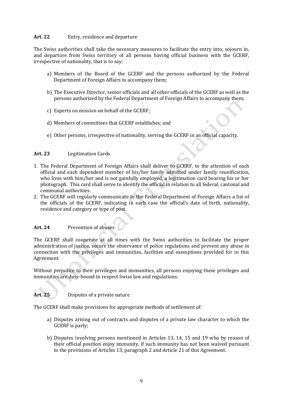## **Art. 22** Entry, residence and departure

The Swiss authorities shall take the necessary measures to facilitate the entry into, sojourn in, and departure from Swiss territory of all persons having official business with the GCERF, irrespective of nationality, that is to say:

- a) Members of the Board of the GCERF and the persons authorized by the Federal Department of Foreign Affairs to accompany them;
- b) The Executive Director, senior officials and all other officials of the GCERF as well as the persons authorized by the Federal Department of Foreign Affairs to accompany them;
- c) Experts on mission on behalf of the GCERF;
- d) Members of committees that GCERF establishes; and
- e) Other persons, irrespective of nationality, serving the GCERF in an official capacity.

## **Art. 23** Legitimation Cards

- 1. The Federal Department of Foreign Affairs shall deliver to GCERF, to the attention of each official and each dependent member of his/her family admitted under family reunification, who lives with him/her and is not gainfully employed, a legitimation card bearing his or her photograph. This card shall serve to identify the official in relation to all federal, cantonal and communal authorities.
- 2. The GCERF will regularly communicate to the Federal Department of Foreign Affairs a list of the officials of the GCERF, indicating in each case the official's date of birth, nationality, residence and category or type of post.

# **Art. 24** Prevention of abuses

The GCERF shall cooperate at all times with the Swiss authorities to facilitate the proper administration of justice, secure the observance of police regulations and prevent any abuse in connection with the privileges and immunities, facilities and exemptions provided for in this Agreement.

Without prejudice to their privileges and immunities, all persons enjoying these privileges and immunities are duty-bound to respect Swiss law and regulations.

# **Art. 25** Disputes of a private nature

The GCERF shall make provisions for appropriate methods of settlement of:

- a) Disputes arising out of contracts and disputes of a private law character to which the GCERF is party;
- b) Disputes involving persons mentioned in Articles 13, 14, 15 and 19 who by reason of their official position enjoy immunity, if such immunity has not been waived pursuant to the provisions of Articles 13, paragraph 2 and Article 21 of this Agreement.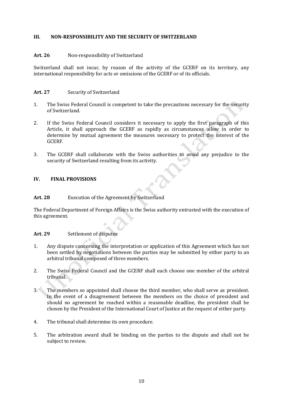## **III. NON-RESPONSIBILITY AND THE SECURITY OF SWITZERLAND**

#### **Art. 26** Non-responsibility of Switzerland

Switzerland shall not incur, by reason of the activity of the GCERF on its territory, any international responsibility for acts or omissions of the GCERF or of its officials.

#### **Art. 27** Security of Switzerland

- 1. The Swiss Federal Council is competent to take the precautions necessary for the security of Switzerland.
- 2. If the Swiss Federal Council considers it necessary to apply the first paragraph of this Article, it shall approach the GCERF as rapidly as circumstances allow in order to determine by mutual agreement the measures necessary to protect the interest of the GCERF.
- 3. The GCERF shall collaborate with the Swiss authorities to avoid any prejudice to the security of Switzerland resulting from its activity.

#### **IV. FINAL PROVISIONS**

#### **Art. 28** Execution of the Agreement by Switzerland

The Federal Department of Foreign Affairs is the Swiss authority entrusted with the execution of this agreement.

## **Art. 29** Settlement of disputes

- 1. Any dispute concerning the interpretation or application of this Agreement which has not been settled by negotiations between the parties may be submitted by either party to an arbitral tribunal composed of three members.
- 2. The Swiss Federal Council and the GCERF shall each choose one member of the arbitral tribunal.
- 3. The members so appointed shall choose the third member, who shall serve as president. In the event of a disagreement between the members on the choice of president and should no agreement be reached within a reasonable deadline, the president shall be chosen by the President of the International Court of Justice at the request of either party.
- 4. The tribunal shall determine its own procedure.
- 5. The arbitration award shall be binding on the parties to the dispute and shall not be subject to review.